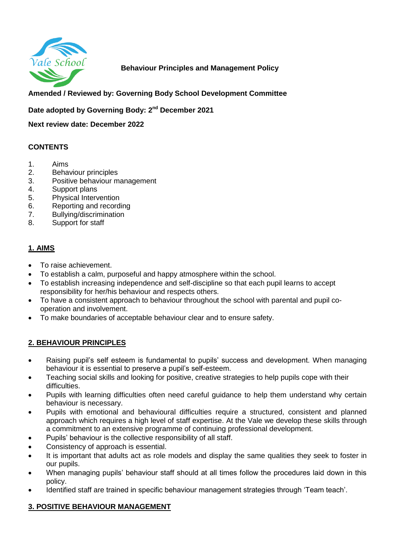

# **Behaviour Principles and Management Policy**

# **Amended / Reviewed by: Governing Body School Development Committee**

**Date adopted by Governing Body: 2nd December 2021**

**Next review date: December 2022**

## **CONTENTS**

- 1. Aims
- 2. Behaviour principles
- 3. Positive behaviour management
- 4. Support plans
- 5. Physical Intervention
- 6. Reporting and recording
- 7. Bullying/discrimination
- 8. Support for staff

# **1. AIMS**

- To raise achievement.
- To establish a calm, purposeful and happy atmosphere within the school.
- To establish increasing independence and self-discipline so that each pupil learns to accept responsibility for her/his behaviour and respects others.
- To have a consistent approach to behaviour throughout the school with parental and pupil cooperation and involvement.
- To make boundaries of acceptable behaviour clear and to ensure safety.

## **2. BEHAVIOUR PRINCIPLES**

- Raising pupil's self esteem is fundamental to pupils' success and development. When managing behaviour it is essential to preserve a pupil's self-esteem.
- Teaching social skills and looking for positive, creative strategies to help pupils cope with their difficulties.
- Pupils with learning difficulties often need careful guidance to help them understand why certain behaviour is necessary.
- Pupils with emotional and behavioural difficulties require a structured, consistent and planned approach which requires a high level of staff expertise. At the Vale we develop these skills through a commitment to an extensive programme of continuing professional development.
- Pupils' behaviour is the collective responsibility of all staff.
- Consistency of approach is essential.
- It is important that adults act as role models and display the same qualities they seek to foster in our pupils.
- When managing pupils' behaviour staff should at all times follow the procedures laid down in this policy.
- Identified staff are trained in specific behaviour management strategies through 'Team teach'.

## **3. POSITIVE BEHAVIOUR MANAGEMENT**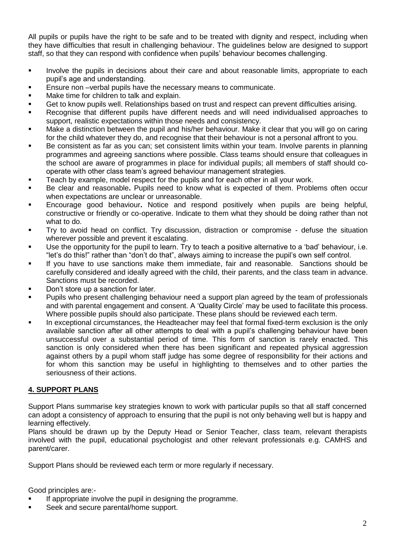All pupils or pupils have the right to be safe and to be treated with dignity and respect, including when they have difficulties that result in challenging behaviour. The guidelines below are designed to support staff, so that they can respond with confidence when pupils' behaviour becomes challenging.

- **IDED** Involve the pupils in decisions about their care and about reasonable limits, appropriate to each pupil's age and understanding.
- **Ensure non** –verbal pupils have the necessary means to communicate.
- Make time for children to talk and explain.
- Get to know pupils well. Relationships based on trust and respect can prevent difficulties arising.
- Recognise that different pupils have different needs and will need individualised approaches to support, realistic expectations within those needs and consistency.
- Make a distinction between the pupil and his/her behaviour. Make it clear that you will go on caring for the child whatever they do, and recognise that their behaviour is not a personal affront to you.
- Be consistent as far as you can; set consistent limits within your team. Involve parents in planning programmes and agreeing sanctions where possible. Class teams should ensure that colleagues in the school are aware of programmes in place for individual pupils; all members of staff should cooperate with other class team's agreed behaviour management strategies.
- Teach by example, model respect for the pupils and for each other in all your work.
- Be clear and reasonable**.** Pupils need to know what is expected of them. Problems often occur when expectations are unclear or unreasonable.
- Encourage good behaviour**.** Notice and respond positively when pupils are being helpful, constructive or friendly or co-operative. Indicate to them what they should be doing rather than not what to do.
- Try to avoid head on conflict. Try discussion, distraction or compromise defuse the situation wherever possible and prevent it escalating.
- Use the opportunity for the pupil to learn. Try to teach a positive alternative to a 'bad' behaviour, i.e. "let's do this!" rather than "don't do that", always aiming to increase the pupil's own self control.
- If you have to use sanctions make them immediate, fair and reasonable. Sanctions should be carefully considered and ideally agreed with the child, their parents, and the class team in advance. Sanctions must be recorded.
- Don't store up a sanction for later.
- Pupils who present challenging behaviour need a support plan agreed by the team of professionals and with parental engagement and consent. A 'Quality Circle' may be used to facilitate this process. Where possible pupils should also participate. These plans should be reviewed each term.
- In exceptional circumstances, the Headteacher may feel that formal fixed-term exclusion is the only available sanction after all other attempts to deal with a pupil's challenging behaviour have been unsuccessful over a substantial period of time. This form of sanction is rarely enacted. This sanction is only considered when there has been significant and repeated physical aggression against others by a pupil whom staff judge has some degree of responsibility for their actions and for whom this sanction may be useful in highlighting to themselves and to other parties the seriousness of their actions.

## **4. SUPPORT PLANS**

Support Plans summarise key strategies known to work with particular pupils so that all staff concerned can adopt a consistency of approach to ensuring that the pupil is not only behaving well but is happy and learning effectively.

Plans should be drawn up by the Deputy Head or Senior Teacher, class team, relevant therapists involved with the pupil, educational psychologist and other relevant professionals e.g. CAMHS and parent/carer.

Support Plans should be reviewed each term or more regularly if necessary.

Good principles are:-

- If appropriate involve the pupil in designing the programme.
- Seek and secure parental/home support.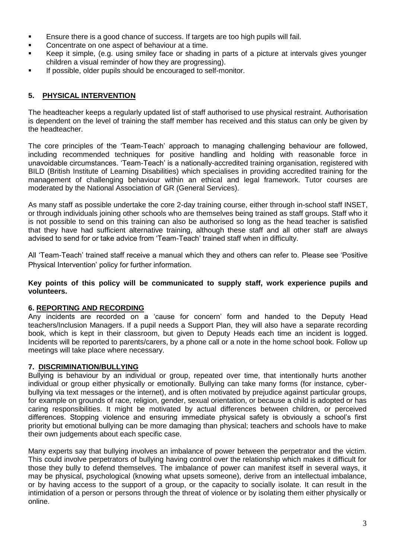- Ensure there is a good chance of success. If targets are too high pupils will fail.
- **Concentrate on one aspect of behaviour at a time.**
- Keep it simple, (e.g. using smiley face or shading in parts of a picture at intervals gives younger children a visual reminder of how they are progressing).
- If possible, older pupils should be encouraged to self-monitor.

# **5. PHYSICAL INTERVENTION**

The headteacher keeps a regularly updated list of staff authorised to use physical restraint. Authorisation is dependent on the level of training the staff member has received and this status can only be given by the headteacher.

The core principles of the 'Team-Teach' approach to managing challenging behaviour are followed, including recommended techniques for positive handling and holding with reasonable force in unavoidable circumstances. 'Team-Teach' is a nationally-accredited training organisation, registered with BILD (British Institute of Learning Disabilities) which specialises in providing accredited training for the management of challenging behaviour within an ethical and legal framework. Tutor courses are moderated by the National Association of GR (General Services).

As many staff as possible undertake the core 2-day training course, either through in-school staff INSET, or through individuals joining other schools who are themselves being trained as staff groups. Staff who it is not possible to send on this training can also be authorised so long as the head teacher is satisfied that they have had sufficient alternative training, although these staff and all other staff are always advised to send for or take advice from 'Team-Teach' trained staff when in difficulty.

All 'Team-Teach' trained staff receive a manual which they and others can refer to. Please see 'Positive Physical Intervention' policy for further information.

**Key points of this policy will be communicated to supply staff, work experience pupils and volunteers.**

## **6. REPORTING AND RECORDING**

Any incidents are recorded on a 'cause for concern' form and handed to the Deputy Head teachers/Inclusion Managers. If a pupil needs a Support Plan, they will also have a separate recording book, which is kept in their classroom, but given to Deputy Heads each time an incident is logged. Incidents will be reported to parents/carers, by a phone call or a note in the home school book. Follow up meetings will take place where necessary.

## **7. DISCRIMINATION/BULLYING**

Bullying is behaviour by an individual or group, repeated over time, that intentionally hurts another individual or group either physically or emotionally. Bullying can take many forms (for instance, cyberbullying via text messages or the internet), and is often motivated by prejudice against particular groups, for example on grounds of race, religion, gender, sexual orientation, or because a child is adopted or has caring responsibilities. It might be motivated by actual differences between children, or perceived differences. Stopping violence and ensuring immediate physical safety is obviously a school's first priority but emotional bullying can be more damaging than physical; teachers and schools have to make their own judgements about each specific case.

Many experts say that bullying involves an imbalance of power between the perpetrator and the victim. This could involve perpetrators of bullying having control over the relationship which makes it difficult for those they bully to defend themselves. The imbalance of power can manifest itself in several ways, it may be physical, psychological (knowing what upsets someone), derive from an intellectual imbalance, or by having access to the support of a group, or the capacity to socially isolate. It can result in the intimidation of a person or persons through the threat of violence or by isolating them either physically or online.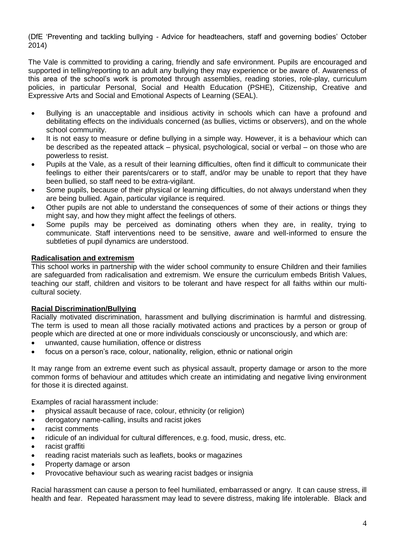(DfE 'Preventing and tackling bullying - Advice for headteachers, staff and governing bodies' October 2014)

The Vale is committed to providing a caring, friendly and safe environment. Pupils are encouraged and supported in telling/reporting to an adult any bullying they may experience or be aware of. Awareness of this area of the school's work is promoted through assemblies, reading stories, role-play, curriculum policies, in particular Personal, Social and Health Education (PSHE), Citizenship, Creative and Expressive Arts and Social and Emotional Aspects of Learning (SEAL).

- Bullying is an unacceptable and insidious activity in schools which can have a profound and debilitating effects on the individuals concerned (as bullies, victims or observers), and on the whole school community.
- It is not easy to measure or define bullying in a simple way. However, it is a behaviour which can be described as the repeated attack – physical, psychological, social or verbal – on those who are powerless to resist.
- Pupils at the Vale, as a result of their learning difficulties, often find it difficult to communicate their feelings to either their parents/carers or to staff, and/or may be unable to report that they have been bullied, so staff need to be extra-vigilant.
- Some pupils, because of their physical or learning difficulties, do not always understand when they are being bullied. Again, particular vigilance is required.
- Other pupils are not able to understand the consequences of some of their actions or things they might say, and how they might affect the feelings of others.
- Some pupils may be perceived as dominating others when they are, in reality, trying to communicate. Staff interventions need to be sensitive, aware and well-informed to ensure the subtleties of pupil dynamics are understood.

#### **Radicalisation and extremism**

This school works in partnership with the wider school community to ensure Children and their families are safeguarded from radicalisation and extremism. We ensure the curriculum embeds British Values, teaching our staff, children and visitors to be tolerant and have respect for all faiths within our multicultural society.

#### **Racial Discrimination/Bullying**

Racially motivated discrimination, harassment and bullying discrimination is harmful and distressing. The term is used to mean all those racially motivated actions and practices by a person or group of people which are directed at one or more individuals consciously or unconsciously, and which are:

- unwanted, cause humiliation, offence or distress
- focus on a person's race, colour, nationality, religion, ethnic or national origin

It may range from an extreme event such as physical assault, property damage or arson to the more common forms of behaviour and attitudes which create an intimidating and negative living environment for those it is directed against.

Examples of racial harassment include:

- physical assault because of race, colour, ethnicity (or religion)
- derogatory name-calling, insults and racist jokes
- racist comments
- ridicule of an individual for cultural differences, e.g. food, music, dress, etc.
- racist graffiti
- reading racist materials such as leaflets, books or magazines
- Property damage or arson
- Provocative behaviour such as wearing racist badges or insignia

Racial harassment can cause a person to feel humiliated, embarrassed or angry. It can cause stress, ill health and fear. Repeated harassment may lead to severe distress, making life intolerable. Black and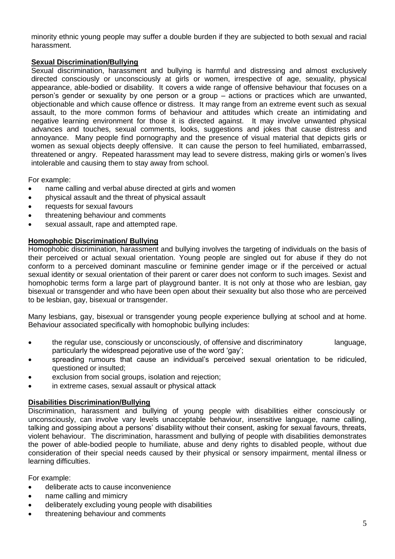minority ethnic young people may suffer a double burden if they are subjected to both sexual and racial harassment.

#### **Sexual Discrimination/Bullying**

Sexual discrimination, harassment and bullying is harmful and distressing and almost exclusively directed consciously or unconsciously at girls or women, irrespective of age, sexuality, physical appearance, able-bodied or disability. It covers a wide range of offensive behaviour that focuses on a person's gender or sexuality by one person or a group – actions or practices which are unwanted, objectionable and which cause offence or distress. It may range from an extreme event such as sexual assault, to the more common forms of behaviour and attitudes which create an intimidating and negative learning environment for those it is directed against. It may involve unwanted physical advances and touches, sexual comments, looks, suggestions and jokes that cause distress and annoyance. Many people find pornography and the presence of visual material that depicts girls or women as sexual objects deeply offensive. It can cause the person to feel humiliated, embarrassed, threatened or angry. Repeated harassment may lead to severe distress, making girls or women's lives intolerable and causing them to stay away from school.

For example:

- name calling and verbal abuse directed at girls and women
- physical assault and the threat of physical assault
- requests for sexual favours
- threatening behaviour and comments
- sexual assault, rape and attempted rape.

#### **Homophobic Discrimination/ Bullying**

Homophobic discrimination, harassment and bullying involves the targeting of individuals on the basis of their perceived or actual sexual orientation. Young people are singled out for abuse if they do not conform to a perceived dominant masculine or feminine gender image or if the perceived or actual sexual identity or sexual orientation of their parent or carer does not conform to such images. Sexist and homophobic terms form a large part of playground banter. It is not only at those who are lesbian, gay bisexual or transgender and who have been open about their sexuality but also those who are perceived to be lesbian, gay, bisexual or transgender.

Many lesbians, gay, bisexual or transgender young people experience bullying at school and at home. Behaviour associated specifically with homophobic bullying includes:

- the regular use, consciously or unconsciously, of offensive and discriminatory language, particularly the widespread pejorative use of the word 'gay';
- spreading rumours that cause an individual's perceived sexual orientation to be ridiculed, questioned or insulted;
- exclusion from social groups, isolation and rejection;
- in extreme cases, sexual assault or physical attack

## **Disabilities Discrimination/Bullying**

Discrimination, harassment and bullying of young people with disabilities either consciously or unconsciously, can involve vary levels unacceptable behaviour, insensitive language, name calling, talking and gossiping about a persons' disability without their consent, asking for sexual favours, threats, violent behaviour. The discrimination, harassment and bullying of people with disabilities demonstrates the power of able-bodied people to humiliate, abuse and deny rights to disabled people, without due consideration of their special needs caused by their physical or sensory impairment, mental illness or learning difficulties.

For example:

- deliberate acts to cause inconvenience
- name calling and mimicry
- deliberately excluding young people with disabilities
- threatening behaviour and comments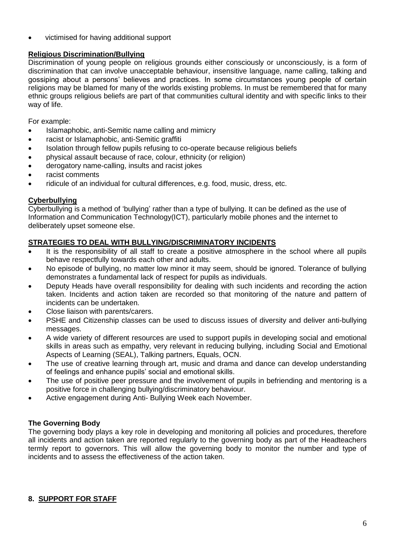victimised for having additional support

# **Religious Discrimination/Bullying**

Discrimination of young people on religious grounds either consciously or unconsciously, is a form of discrimination that can involve unacceptable behaviour, insensitive language, name calling, talking and gossiping about a persons' believes and practices. In some circumstances young people of certain religions may be blamed for many of the worlds existing problems. In must be remembered that for many ethnic groups religious beliefs are part of that communities cultural identity and with specific links to their way of life.

For example:

- Islamaphobic, anti-Semitic name calling and mimicry
- racist or Islamaphobic, anti-Semitic graffiti
- Isolation through fellow pupils refusing to co-operate because religious beliefs
- physical assault because of race, colour, ethnicity (or religion)
- derogatory name-calling, insults and racist jokes
- racist comments
- ridicule of an individual for cultural differences, e.g. food, music, dress, etc.

# **Cyberbullying**

Cyberbullying is a method of 'bullying' rather than a type of bullying. It can be defined as the use of Information and Communication Technology(ICT), particularly mobile phones and the internet to deliberately upset someone else.

# **STRATEGIES TO DEAL WITH BULLYING/DISCRIMINATORY INCIDENTS**

- It is the responsibility of all staff to create a positive atmosphere in the school where all pupils behave respectfully towards each other and adults.
- No episode of bullying, no matter low minor it may seem, should be ignored. Tolerance of bullying demonstrates a fundamental lack of respect for pupils as individuals.
- Deputy Heads have overall responsibility for dealing with such incidents and recording the action taken. Incidents and action taken are recorded so that monitoring of the nature and pattern of incidents can be undertaken.
- Close liaison with parents/carers.
- PSHE and Citizenship classes can be used to discuss issues of diversity and deliver anti-bullying messages.
- A wide variety of different resources are used to support pupils in developing social and emotional skills in areas such as empathy, very relevant in reducing bullying, including Social and Emotional Aspects of Learning (SEAL), Talking partners, Equals, OCN.
- The use of creative learning through art, music and drama and dance can develop understanding of feelings and enhance pupils' social and emotional skills.
- The use of positive peer pressure and the involvement of pupils in befriending and mentoring is a positive force in challenging bullying/discriminatory behaviour.
- Active engagement during Anti- Bullying Week each November.

## **The Governing Body**

The governing body plays a key role in developing and monitoring all policies and procedures, therefore all incidents and action taken are reported regularly to the governing body as part of the Headteachers termly report to governors. This will allow the governing body to monitor the number and type of incidents and to assess the effectiveness of the action taken.

# **8. SUPPORT FOR STAFF**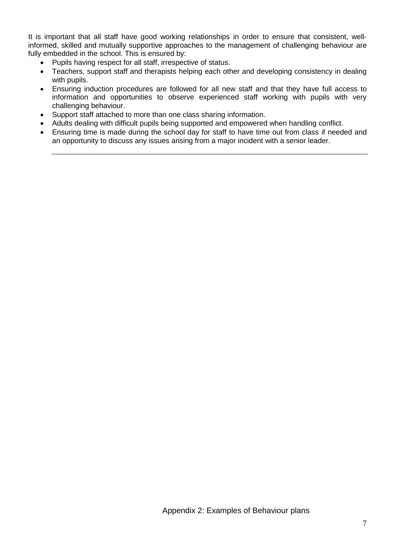It is important that all staff have good working relationships in order to ensure that consistent, wellinformed, skilled and mutually supportive approaches to the management of challenging behaviour are fully embedded in the school. This is ensured by:

- Pupils having respect for all staff, irrespective of status.
- Teachers, support staff and therapists helping each other and developing consistency in dealing with pupils.
- Ensuring induction procedures are followed for all new staff and that they have full access to information and opportunities to observe experienced staff working with pupils with very challenging behaviour.
- Support staff attached to more than one class sharing information.
- Adults dealing with difficult pupils being supported and empowered when handling conflict.
- Ensuring time is made during the school day for staff to have time out from class if needed and an opportunity to discuss any issues arising from a major incident with a senior leader.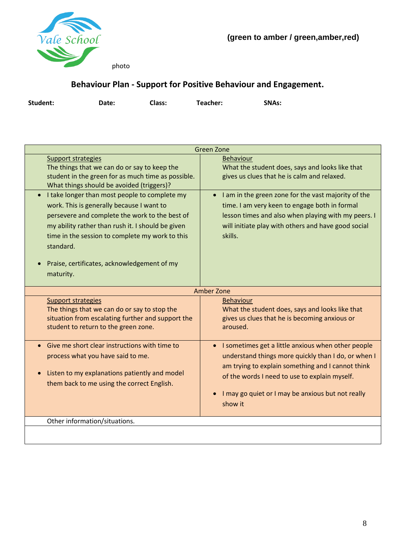

photo

# **Behaviour Plan - Support for Positive Behaviour and Engagement.**

| Student: | Date: | Class: | Teacher: | <b>SNAs:</b> |
|----------|-------|--------|----------|--------------|
|          |       |        |          |              |

| <b>Green Zone</b>                                                                                                                                                                                                                                                                                                             |                                                                                                                                                                                                                                                                                              |  |  |
|-------------------------------------------------------------------------------------------------------------------------------------------------------------------------------------------------------------------------------------------------------------------------------------------------------------------------------|----------------------------------------------------------------------------------------------------------------------------------------------------------------------------------------------------------------------------------------------------------------------------------------------|--|--|
| <b>Support strategies</b><br>The things that we can do or say to keep the<br>student in the green for as much time as possible.<br>What things should be avoided (triggers)?                                                                                                                                                  | <b>Behaviour</b><br>What the student does, says and looks like that<br>gives us clues that he is calm and relaxed.                                                                                                                                                                           |  |  |
| I take longer than most people to complete my<br>work. This is generally because I want to<br>persevere and complete the work to the best of<br>my ability rather than rush it. I should be given<br>time in the session to complete my work to this<br>standard.<br>Praise, certificates, acknowledgement of my<br>maturity. | I am in the green zone for the vast majority of the<br>$\bullet$<br>time. I am very keen to engage both in formal<br>lesson times and also when playing with my peers. I<br>will initiate play with others and have good social<br>skills.                                                   |  |  |
|                                                                                                                                                                                                                                                                                                                               | Amber Zone                                                                                                                                                                                                                                                                                   |  |  |
| <b>Support strategies</b><br>The things that we can do or say to stop the<br>situation from escalating further and support the<br>student to return to the green zone.                                                                                                                                                        | <b>Behaviour</b><br>What the student does, says and looks like that<br>gives us clues that he is becoming anxious or<br>aroused.                                                                                                                                                             |  |  |
| Give me short clear instructions with time to<br>process what you have said to me.<br>Listen to my explanations patiently and model<br>them back to me using the correct English.                                                                                                                                             | I sometimes get a little anxious when other people<br>$\bullet$<br>understand things more quickly than I do, or when I<br>am trying to explain something and I cannot think<br>of the words I need to use to explain myself.<br>I may go quiet or I may be anxious but not really<br>show it |  |  |
| Other information/situations.                                                                                                                                                                                                                                                                                                 |                                                                                                                                                                                                                                                                                              |  |  |
|                                                                                                                                                                                                                                                                                                                               |                                                                                                                                                                                                                                                                                              |  |  |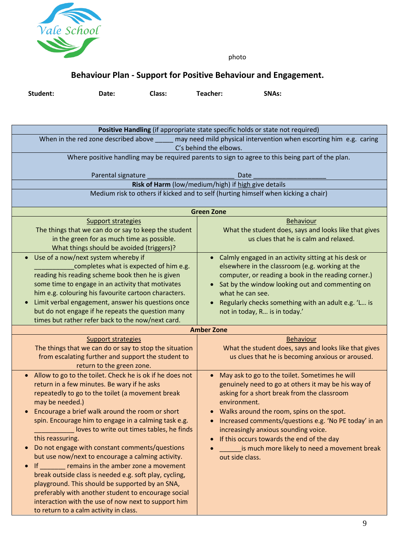

photo

# **Behaviour Plan - Support for Positive Behaviour and Engagement.**

**Student: Date: Class: Teacher: SNAs:** 

| Positive Handling (if appropriate state specific holds or state not required)                              |                                                                                    |  |  |  |
|------------------------------------------------------------------------------------------------------------|------------------------------------------------------------------------------------|--|--|--|
| When in the red zone described above<br>may need mild physical intervention when escorting him e.g. caring |                                                                                    |  |  |  |
| C's behind the elbows.                                                                                     |                                                                                    |  |  |  |
| Where positive handling may be required parents to sign to agree to this being part of the plan.           |                                                                                    |  |  |  |
|                                                                                                            |                                                                                    |  |  |  |
| Parental signature<br>Date                                                                                 |                                                                                    |  |  |  |
|                                                                                                            | Risk of Harm (low/medium/high) if high give details                                |  |  |  |
|                                                                                                            | Medium risk to others if kicked and to self (hurting himself when kicking a chair) |  |  |  |
|                                                                                                            |                                                                                    |  |  |  |
| <b>Green Zone</b>                                                                                          |                                                                                    |  |  |  |
| Support strategies                                                                                         | <b>Behaviour</b>                                                                   |  |  |  |
| The things that we can do or say to keep the student                                                       | What the student does, says and looks like that gives                              |  |  |  |
| in the green for as much time as possible.                                                                 | us clues that he is calm and relaxed.                                              |  |  |  |
| What things should be avoided (triggers)?                                                                  |                                                                                    |  |  |  |
| Use of a now/next system whereby if<br>$\bullet$                                                           | Calmly engaged in an activity sitting at his desk or                               |  |  |  |
| completes what is expected of him e.g.                                                                     | elsewhere in the classroom (e.g. working at the                                    |  |  |  |
| reading his reading scheme book then he is given                                                           | computer, or reading a book in the reading corner.)                                |  |  |  |
| some time to engage in an activity that motivates                                                          | Sat by the window looking out and commenting on                                    |  |  |  |
| him e.g. colouring his favourite cartoon characters.                                                       | what he can see.                                                                   |  |  |  |
| Limit verbal engagement, answer his questions once<br>$\bullet$                                            | Regularly checks something with an adult e.g. 'L is                                |  |  |  |
| but do not engage if he repeats the question many                                                          | not in today, R is in today.'                                                      |  |  |  |
| times but rather refer back to the now/next card.                                                          |                                                                                    |  |  |  |
|                                                                                                            | <b>Amber Zone</b>                                                                  |  |  |  |
| <b>Support strategies</b>                                                                                  | <b>Behaviour</b>                                                                   |  |  |  |
| The things that we can do or say to stop the situation                                                     | What the student does, says and looks like that gives                              |  |  |  |
| from escalating further and support the student to                                                         | us clues that he is becoming anxious or aroused.                                   |  |  |  |
| return to the green zone.                                                                                  |                                                                                    |  |  |  |
| Allow to go to the toilet. Check he is ok if he does not<br>$\bullet$                                      | May ask to go to the toilet. Sometimes he will                                     |  |  |  |
| return in a few minutes. Be wary if he asks                                                                | genuinely need to go at others it may be his way of                                |  |  |  |
| repeatedly to go to the toilet (a movement break                                                           | asking for a short break from the classroom                                        |  |  |  |
| may be needed.)                                                                                            | environment.                                                                       |  |  |  |
| Encourage a brief walk around the room or short                                                            | Walks around the room, spins on the spot.                                          |  |  |  |
| spin. Encourage him to engage in a calming task e.g.                                                       | Increased comments/questions e.g. 'No PE today' in an                              |  |  |  |
| loves to write out times tables, he finds                                                                  | increasingly anxious sounding voice.                                               |  |  |  |
| this reassuring.                                                                                           | If this occurs towards the end of the day                                          |  |  |  |
| Do not engage with constant comments/questions<br>$\bullet$                                                | is much more likely to need a movement break                                       |  |  |  |
| but use now/next to encourage a calming activity.                                                          | out side class.                                                                    |  |  |  |
| remains in the amber zone a movement<br>$\mathsf{If}$<br>$\bullet$                                         |                                                                                    |  |  |  |
| break outside class is needed e.g. soft play, cycling,                                                     |                                                                                    |  |  |  |
| playground. This should be supported by an SNA,                                                            |                                                                                    |  |  |  |
| preferably with another student to encourage social                                                        |                                                                                    |  |  |  |
| interaction with the use of now next to support him                                                        |                                                                                    |  |  |  |
| to return to a calm activity in class.                                                                     |                                                                                    |  |  |  |